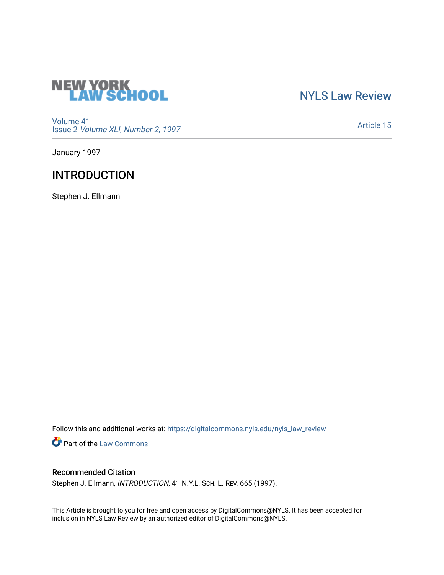

# [NYLS Law Review](https://digitalcommons.nyls.edu/nyls_law_review)

[Volume 41](https://digitalcommons.nyls.edu/nyls_law_review/vol41) Issue 2 [Volume XLI, Number 2, 1997](https://digitalcommons.nyls.edu/nyls_law_review/vol41/iss2)

[Article 15](https://digitalcommons.nyls.edu/nyls_law_review/vol41/iss2/15) 

January 1997

# **INTRODUCTION**

Stephen J. Ellmann

Follow this and additional works at: [https://digitalcommons.nyls.edu/nyls\\_law\\_review](https://digitalcommons.nyls.edu/nyls_law_review?utm_source=digitalcommons.nyls.edu%2Fnyls_law_review%2Fvol41%2Fiss2%2F15&utm_medium=PDF&utm_campaign=PDFCoverPages) 

Part of the [Law Commons](https://network.bepress.com/hgg/discipline/578?utm_source=digitalcommons.nyls.edu%2Fnyls_law_review%2Fvol41%2Fiss2%2F15&utm_medium=PDF&utm_campaign=PDFCoverPages)

## Recommended Citation

Stephen J. Ellmann, INTRODUCTION, 41 N.Y.L. SCH. L. REV. 665 (1997).

This Article is brought to you for free and open access by DigitalCommons@NYLS. It has been accepted for inclusion in NYLS Law Review by an authorized editor of DigitalCommons@NYLS.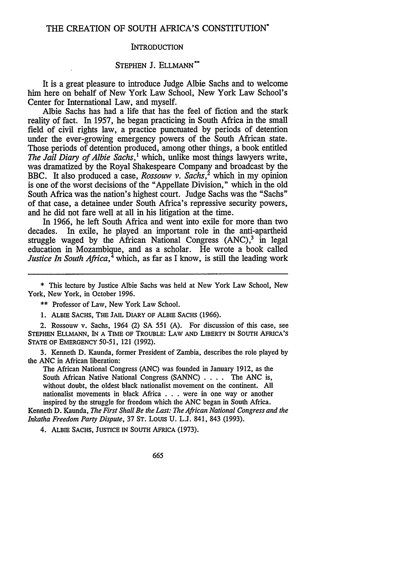### THE CREATION OF SOUTH AFRICA'S CONSTITUTION\*

#### **INTRODUCTION**

### STEPHEN J. ELLMANN\*\*

It is a great pleasure to introduce Judge Albie Sachs and to welcome him here on behalf of New York Law School, New York Law School's Center for International Law, and myself.

Albie Sachs has had a life that has the feel of fiction and the stark reality of fact. In 1957, he began practicing in South Africa in the small field of civil rights law, a practice punctuated by periods of detention under the ever-growing emergency powers of the South African state. Those periods of detention produced, among other things, a book entitled *The Jail Diary of Albie Sachs,'* which, unlike most things lawyers write, was dramatized by the Royal Shakespeare Company and broadcast by the BBC. It also produced a case, *Rossouw v. Sachs,2* which in my opinion is one of the worst decisions of the "Appellate Division," which in the old South Africa was the nation's highest court. Judge Sachs was the "Sachs" of that case, a detainee under South Africa's repressive security powers, and he did not fare well at all in his litigation at the time.

In 1966, he left South Africa and went into exile for more than two decades. In exile, he played an important role in the anti-apartheid struggle waged by the African National Congress  $(ANC)<sup>3</sup>$  in legal education in Mozambique, and as a scholar. He wrote a book called *Justice In South Africa*,<sup> $4$ </sup> which, as far as I know, is still the leading work

\* This lecture by Justice Albie Sachs was held at New York Law School, New York, New York, in October 1996.

\*\* Professor of Law, New York Law School.

**1.** ALBIE **SACHS,** THE **JAIL** DIARY OF ALBIE **SACHS (1966).**

2. Rossouw v. Sachs, 1964 (2) **SA 551 (A).** For discussion of this case, see **STEPHEN ELLMANN,** IN **A** TIME OF TROUBLE: LAW **AND** LIBERTY **IN SOUTH** AFRICA'S **STATE** OF **EMERGENCY** 50-51, 121 **(1992).**

3. Kenneth D. Kaunda, former President of Zambia, describes the role played by the ANC in African liberation:

The African National Congress (ANC) was founded in January 1912, as the South African Native National Congress (SANNC) . **. .** . The **ANC** is, without doubt, the oldest black nationalist movement on the continent. All nationalist movements in black Africa . . . were in one way or another inspired by the struggle for freedom which the ANC began in South Africa.

Kenneth D. Kaunda, *The First Shall Be the Last: The African National Congress and the Inkatha Freedom Party Dispute,* 37 ST. Louis **U.** L.J. 841, 843 (1993).

4. ALBIE **SACHS, JUSTICE IN SOUTH** AFRICA (1973).

665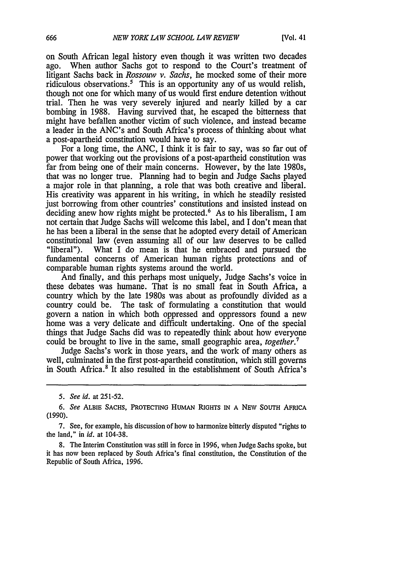on South African legal history even though it was written two decades ago. When author Sachs got to respond to the Court's treatment of litigant Sachs back in *Rossouw v. Sachs,* he mocked some of their more ridiculous observations.<sup>5</sup> This is an opportunity any of us would relish, though not one for which many of us would first endure detention without trial. Then he was very severely injured and nearly killed by a car bombing in 1988. Having survived that, he escaped the bitterness that might have befallen another victim of such violence, and instead became a leader in the ANC's and South Africa's process of thinking about what a post-apartheid constitution would have to say.

For a long time, the ANC, I think it is fair to say, was so far out of power that working out the provisions of a post-apartheid constitution was far from being one of their main concerns. However, by the late 1980s, that was no longer true. Planning had to begin and Judge Sachs played a major role in that planning, a role that was both creative and liberal. His creativity was apparent in his writing, in which he steadily resisted just borrowing from other countries' constitutions and insisted instead on deciding anew how rights might be protected.<sup>6</sup> As to his liberalism, I am not certain that Judge Sachs will welcome this label, and I don't mean that he has been a liberal in the sense that he adopted every detail of American constitutional law (even assuming all of our law deserves to be called "liberal"). What I do mean is that he embraced and pursued the fundamental concerns of American human rights protections and of comparable human rights systems around the world.

And finally, and this perhaps most uniquely, Judge Sachs's voice in these debates was humane. That is no small feat in South Africa, a country which by the late 1980s was about as profoundly divided as a country could be. The task of formulating a constitution that would govern a nation in which both oppressed and oppressors found a new home was a very delicate and difficult undertaking. One of the special things that Judge Sachs did was to repeatedly think about how everyone could be brought to live in the same, small geographic area, *together.*

Judge Sachs's work in those years, and the work of many others as well, culminated in the first post-apartheid constitution, which still governs in South Africa.<sup>8</sup> It also resulted in the establishment of South Africa's

*<sup>5.</sup> See id.* at 251-52.

*<sup>6.</sup> See* ALBIE **SACHS,** PROTECTING HUMAN RIGHTS IN A NEW **SOUTH** AFRICA (1990).

<sup>7.</sup> See, for example, his discussion of how to harmonize bitterly disputed "rights to the land," in *id.* at 104-38.

<sup>8.</sup> The Interim Constitution was still in force in 1996, when Judge Sachs spoke, but it has now been replaced by South Africa's final constitution, the Constitution of the Republic of South Africa, 1996.